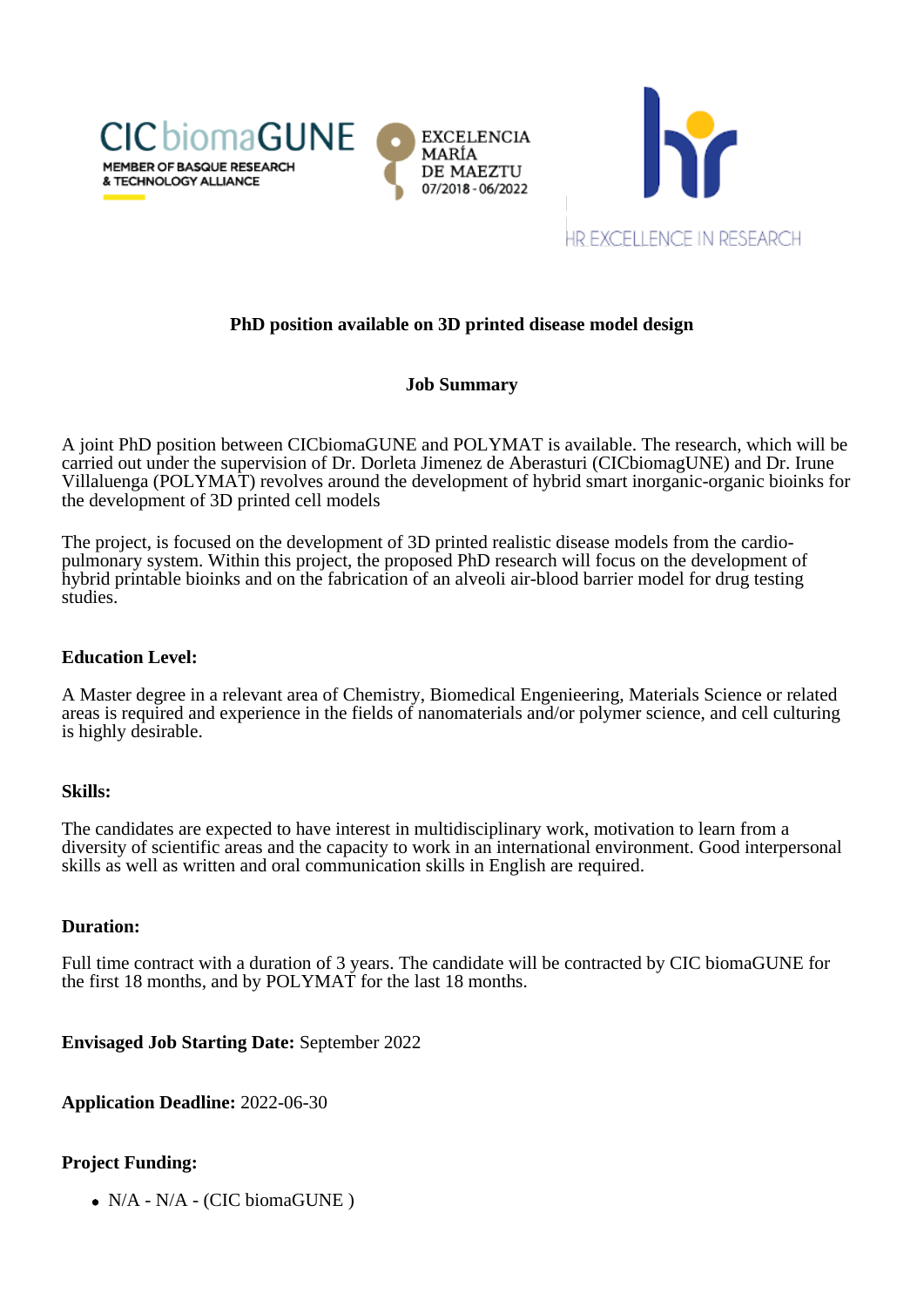



# **PhD position available on 3D printed disease model design**

## **Job Summary**

A joint PhD position between CICbiomaGUNE and POLYMAT is available. The research, which will be carried out under the supervision of Dr. Dorleta Jimenez de Aberasturi (CICbiomagUNE) and Dr. Irune Villaluenga (POLYMAT) revolves around the development of hybrid smart inorganic-organic bioinks for the development of 3D printed cell models

The project, is focused on the development of 3D printed realistic disease models from the cardiopulmonary system. Within this project, the proposed PhD research will focus on the development of hybrid printable bioinks and on the fabrication of an alveoli air-blood barrier model for drug testing studies.

### **Education Level:**

A Master degree in a relevant area of Chemistry, Biomedical Engenieering, Materials Science or related areas is required and experience in the fields of nanomaterials and/or polymer science, and cell culturing is highly desirable.

#### **Skills:**

The candidates are expected to have interest in multidisciplinary work, motivation to learn from a diversity of scientific areas and the capacity to work in an international environment. Good interpersonal skills as well as written and oral communication skills in English are required.

#### **Duration:**

Full time contract with a duration of 3 years. The candidate will be contracted by CIC biomaGUNE for the first 18 months, and by POLYMAT for the last 18 months.

**Envisaged Job Starting Date:** September 2022

**Application Deadline:** 2022-06-30

## **Project Funding:**

 $\bullet$  N/A - N/A - (CIC biomaGUNE)